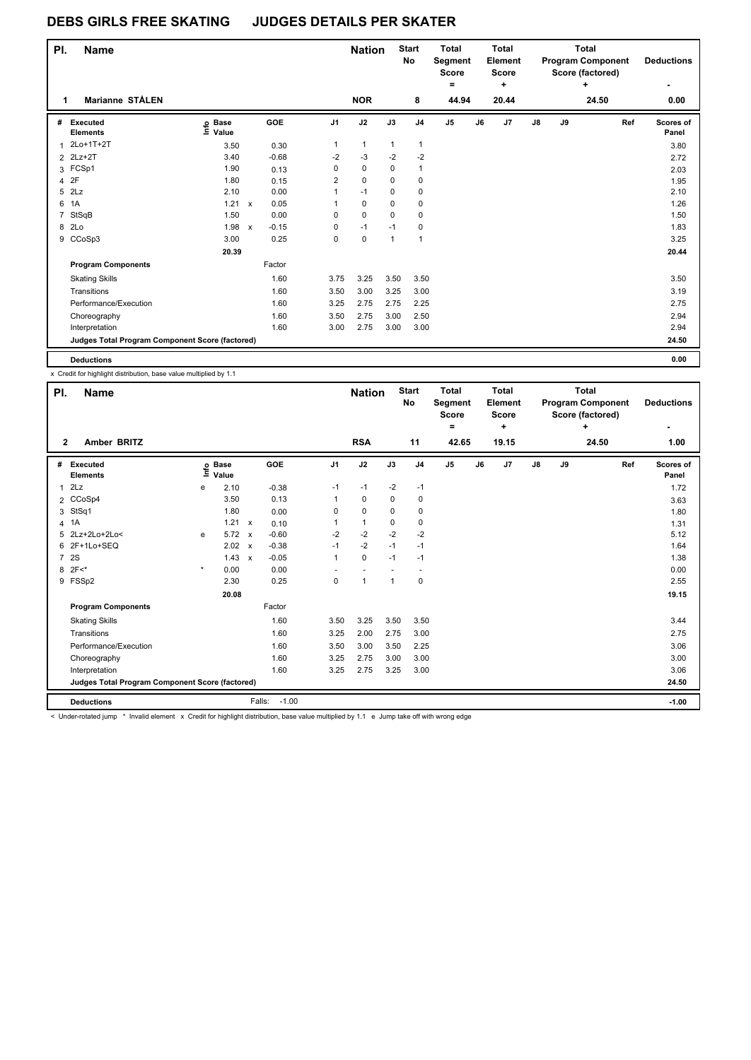| PI. | <b>Name</b>                                     |                            |              |         |                | <b>Nation</b> |              | <b>Start</b><br>No | Total<br>Segment<br>Score<br>۰ |       | Total<br>Element<br><b>Score</b><br>٠ |    |    | Total<br><b>Program Component</b><br>Score (factored)<br>÷ |     | <b>Deductions</b>  |
|-----|-------------------------------------------------|----------------------------|--------------|---------|----------------|---------------|--------------|--------------------|--------------------------------|-------|---------------------------------------|----|----|------------------------------------------------------------|-----|--------------------|
| 1   | <b>Marianne STÅLEN</b>                          |                            |              |         |                | <b>NOR</b>    |              | 8                  |                                | 44.94 | 20.44                                 |    |    | 24.50                                                      |     | 0.00               |
| #   | Executed<br><b>Elements</b>                     | e Base<br>≡ Value<br>Value |              | GOE     | J1             | J2            | J3           | J <sub>4</sub>     | J <sub>5</sub>                 | J6    | J7                                    | J8 | J9 |                                                            | Ref | Scores of<br>Panel |
|     | 2Lo+1T+2T                                       | 3.50                       |              | 0.30    | 1              | $\mathbf{1}$  | $\mathbf{1}$ | 1                  |                                |       |                                       |    |    |                                                            |     | 3.80               |
|     | 2 2Lz+2T                                        | 3.40                       |              | $-0.68$ | $-2$           | $-3$          | $-2$         | $-2$               |                                |       |                                       |    |    |                                                            |     | 2.72               |
| 3   | FCSp1                                           | 1.90                       |              | 0.13    | 0              | 0             | 0            | 1                  |                                |       |                                       |    |    |                                                            |     | 2.03               |
| 4   | 2F                                              | 1.80                       |              | 0.15    | $\overline{2}$ | $\mathbf 0$   | 0            | 0                  |                                |       |                                       |    |    |                                                            |     | 1.95               |
| 5   | 2Lz                                             | 2.10                       |              | 0.00    | 1              | $-1$          | 0            | 0                  |                                |       |                                       |    |    |                                                            |     | 2.10               |
| 6   | 1A                                              | 1.21                       | $\mathsf{x}$ | 0.05    | 1              | $\mathbf 0$   | $\Omega$     | 0                  |                                |       |                                       |    |    |                                                            |     | 1.26               |
|     | 7 StSqB                                         | 1.50                       |              | 0.00    | 0              | $\mathbf 0$   | 0            | 0                  |                                |       |                                       |    |    |                                                            |     | 1.50               |
|     | 8 2Lo                                           | 1.98                       | $\mathsf{x}$ | $-0.15$ | 0              | $-1$          | $-1$         | 0                  |                                |       |                                       |    |    |                                                            |     | 1.83               |
|     | 9 CCoSp3                                        | 3.00                       |              | 0.25    | 0              | 0             | $\mathbf{1}$ | 1                  |                                |       |                                       |    |    |                                                            |     | 3.25               |
|     |                                                 | 20.39                      |              |         |                |               |              |                    |                                |       |                                       |    |    |                                                            |     | 20.44              |
|     | <b>Program Components</b>                       |                            |              | Factor  |                |               |              |                    |                                |       |                                       |    |    |                                                            |     |                    |
|     | <b>Skating Skills</b>                           |                            |              | 1.60    | 3.75           | 3.25          | 3.50         | 3.50               |                                |       |                                       |    |    |                                                            |     | 3.50               |
|     | Transitions                                     |                            |              | 1.60    | 3.50           | 3.00          | 3.25         | 3.00               |                                |       |                                       |    |    |                                                            |     | 3.19               |
|     | Performance/Execution                           |                            |              | 1.60    | 3.25           | 2.75          | 2.75         | 2.25               |                                |       |                                       |    |    |                                                            |     | 2.75               |
|     | Choreography                                    |                            |              | 1.60    | 3.50           | 2.75          | 3.00         | 2.50               |                                |       |                                       |    |    |                                                            |     | 2.94               |
|     | Interpretation                                  |                            |              | 1.60    | 3.00           | 2.75          | 3.00         | 3.00               |                                |       |                                       |    |    |                                                            |     | 2.94               |
|     | Judges Total Program Component Score (factored) |                            |              |         |                |               |              |                    |                                |       |                                       |    |    |                                                            |     | 24.50              |
|     | <b>Deductions</b>                               |                            |              |         |                |               |              |                    |                                |       |                                       |    |    |                                                            |     | 0.00               |

x Credit for highlight distribution, base value multiplied by 1.1

| PI.            | <b>Name</b>                                     |         |                      |              |                   |                | <b>Nation</b> |              | <b>Start</b><br>No | <b>Total</b><br>Segment<br><b>Score</b><br>۰ |    | <b>Total</b><br>Element<br><b>Score</b><br>÷ |    |    | <b>Total</b><br><b>Program Component</b><br>Score (factored)<br>٠ |     | <b>Deductions</b><br>۰ |
|----------------|-------------------------------------------------|---------|----------------------|--------------|-------------------|----------------|---------------|--------------|--------------------|----------------------------------------------|----|----------------------------------------------|----|----|-------------------------------------------------------------------|-----|------------------------|
| $\mathbf{2}$   | Amber BRITZ                                     |         |                      |              |                   |                | <b>RSA</b>    |              | 11                 | 42.65                                        |    | 19.15                                        |    |    | 24.50                                                             |     | 1.00                   |
| #              | <b>Executed</b><br><b>Elements</b>              | ۴ů      | <b>Base</b><br>Value |              | GOE               | J <sub>1</sub> | J2            | J3           | J <sub>4</sub>     | J5                                           | J6 | J7                                           | J8 | J9 |                                                                   | Ref | Scores of<br>Panel     |
| 1              | 2Lz                                             | e       | 2.10                 |              | $-0.38$           | $-1$           | $-1$          | $-2$         | $-1$               |                                              |    |                                              |    |    |                                                                   |     | 1.72                   |
|                | 2 CCoSp4                                        |         | 3.50                 |              | 0.13              | 1              | 0             | 0            | 0                  |                                              |    |                                              |    |    |                                                                   |     | 3.63                   |
| 3              | StSq1                                           |         | 1.80                 |              | 0.00              | 0              | $\mathbf 0$   | 0            | 0                  |                                              |    |                                              |    |    |                                                                   |     | 1.80                   |
| $\overline{4}$ | 1A                                              |         | 1.21                 | $\mathsf{x}$ | 0.10              | 1              | $\mathbf{1}$  | 0            | 0                  |                                              |    |                                              |    |    |                                                                   |     | 1.31                   |
| 5              | 2Lz+2Lo+2Lo<                                    | e       | 5.72                 | $\mathsf{x}$ | $-0.60$           | $-2$           | $-2$          | $-2$         | $-2$               |                                              |    |                                              |    |    |                                                                   |     | 5.12                   |
| 6              | 2F+1Lo+SEQ                                      |         | 2.02                 | $\mathsf{x}$ | $-0.38$           | $-1$           | $-2$          | $-1$         | $-1$               |                                              |    |                                              |    |    |                                                                   |     | 1.64                   |
| $\overline{7}$ | 2S                                              |         | 1.43                 | $\mathsf{x}$ | $-0.05$           | 1              | $\mathbf 0$   | $-1$         | -1                 |                                              |    |                                              |    |    |                                                                   |     | 1.38                   |
| 8              | $2F<^*$                                         | $\star$ | 0.00                 |              | 0.00              |                |               |              |                    |                                              |    |                                              |    |    |                                                                   |     | 0.00                   |
|                | 9 FSSp2                                         |         | 2.30                 |              | 0.25              | 0              | $\mathbf{1}$  | $\mathbf{1}$ | 0                  |                                              |    |                                              |    |    |                                                                   |     | 2.55                   |
|                |                                                 |         | 20.08                |              |                   |                |               |              |                    |                                              |    |                                              |    |    |                                                                   |     | 19.15                  |
|                | <b>Program Components</b>                       |         |                      |              | Factor            |                |               |              |                    |                                              |    |                                              |    |    |                                                                   |     |                        |
|                | <b>Skating Skills</b>                           |         |                      |              | 1.60              | 3.50           | 3.25          | 3.50         | 3.50               |                                              |    |                                              |    |    |                                                                   |     | 3.44                   |
|                | Transitions                                     |         |                      |              | 1.60              | 3.25           | 2.00          | 2.75         | 3.00               |                                              |    |                                              |    |    |                                                                   |     | 2.75                   |
|                | Performance/Execution                           |         |                      |              | 1.60              | 3.50           | 3.00          | 3.50         | 2.25               |                                              |    |                                              |    |    |                                                                   |     | 3.06                   |
|                | Choreography                                    |         |                      |              | 1.60              | 3.25           | 2.75          | 3.00         | 3.00               |                                              |    |                                              |    |    |                                                                   |     | 3.00                   |
|                | Interpretation                                  |         |                      |              | 1.60              | 3.25           | 2.75          | 3.25         | 3.00               |                                              |    |                                              |    |    |                                                                   |     | 3.06                   |
|                | Judges Total Program Component Score (factored) |         |                      |              |                   |                |               |              |                    |                                              |    |                                              |    |    |                                                                   |     | 24.50                  |
|                | <b>Deductions</b>                               |         |                      |              | $-1.00$<br>Falls: |                |               |              |                    |                                              |    |                                              |    |    |                                                                   |     | $-1.00$                |

< Under-rotated jump \* Invalid element x Credit for highlight distribution, base value multiplied by 1.1 e Jump take off with wrong edge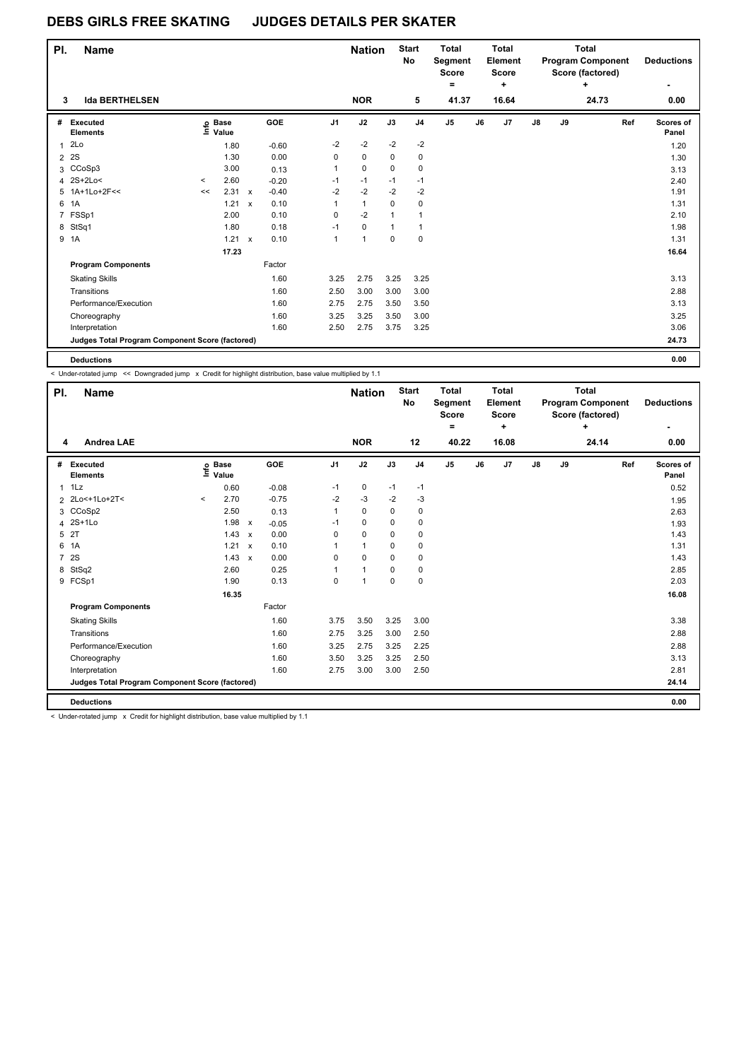| PI.            | <b>Name</b>                                     |         |                   |              |         |                | <b>Nation</b> |              | <b>Start</b><br>No | <b>Total</b><br>Segment<br><b>Score</b><br>۰ |    | <b>Total</b><br>Element<br>Score<br>÷ |               |    | <b>Total</b><br><b>Program Component</b><br>Score (factored)<br>٠ | <b>Deductions</b>  |
|----------------|-------------------------------------------------|---------|-------------------|--------------|---------|----------------|---------------|--------------|--------------------|----------------------------------------------|----|---------------------------------------|---------------|----|-------------------------------------------------------------------|--------------------|
| 3              | <b>Ida BERTHELSEN</b>                           |         |                   |              |         |                | <b>NOR</b>    |              | 5                  | 41.37                                        |    | 16.64                                 |               |    | 24.73                                                             | 0.00               |
| #              | Executed<br><b>Elements</b>                     |         | e Base<br>⊑ Value |              | GOE     | J <sub>1</sub> | J2            | J3           | J <sub>4</sub>     | $\mathsf{J}5$                                | J6 | J7                                    | $\mathsf{J}8$ | J9 | Ref                                                               | Scores of<br>Panel |
| $\mathbf{1}$   | 2Lo                                             |         | 1.80              |              | $-0.60$ | $-2$           | $-2$          | $-2$         | $-2$               |                                              |    |                                       |               |    |                                                                   | 1.20               |
| $\overline{2}$ | 2S                                              |         | 1.30              |              | 0.00    | 0              | 0             | 0            | 0                  |                                              |    |                                       |               |    |                                                                   | 1.30               |
| 3              | CCoSp3                                          |         | 3.00              |              | 0.13    | 1              | $\mathbf 0$   | $\Omega$     | 0                  |                                              |    |                                       |               |    |                                                                   | 3.13               |
| 4              | $2S+2Lo<$                                       | $\prec$ | 2.60              |              | $-0.20$ | $-1$           | $-1$          | $-1$         | $-1$               |                                              |    |                                       |               |    |                                                                   | 2.40               |
| 5              | 1A+1Lo+2F<<                                     | <<      | 2.31              | $\mathsf{x}$ | $-0.40$ | $-2$           | $-2$          | $-2$         | $-2$               |                                              |    |                                       |               |    |                                                                   | 1.91               |
| 6              | 1A                                              |         | 1.21              | $\mathsf{x}$ | 0.10    | 1              | $\mathbf{1}$  | $\Omega$     | 0                  |                                              |    |                                       |               |    |                                                                   | 1.31               |
| 7              | FSSp1                                           |         | 2.00              |              | 0.10    | 0              | $-2$          | $\mathbf{1}$ | 1                  |                                              |    |                                       |               |    |                                                                   | 2.10               |
| 8              | StSq1                                           |         | 1.80              |              | 0.18    | $-1$           | 0             | $\mathbf{1}$ | 1                  |                                              |    |                                       |               |    |                                                                   | 1.98               |
|                | 9 1A                                            |         | 1.21              | $\mathsf{x}$ | 0.10    | $\mathbf{1}$   | $\mathbf{1}$  | $\mathbf 0$  | 0                  |                                              |    |                                       |               |    |                                                                   | 1.31               |
|                |                                                 |         | 17.23             |              |         |                |               |              |                    |                                              |    |                                       |               |    |                                                                   | 16.64              |
|                | <b>Program Components</b>                       |         |                   |              | Factor  |                |               |              |                    |                                              |    |                                       |               |    |                                                                   |                    |
|                | <b>Skating Skills</b>                           |         |                   |              | 1.60    | 3.25           | 2.75          | 3.25         | 3.25               |                                              |    |                                       |               |    |                                                                   | 3.13               |
|                | Transitions                                     |         |                   |              | 1.60    | 2.50           | 3.00          | 3.00         | 3.00               |                                              |    |                                       |               |    |                                                                   | 2.88               |
|                | Performance/Execution                           |         |                   |              | 1.60    | 2.75           | 2.75          | 3.50         | 3.50               |                                              |    |                                       |               |    |                                                                   | 3.13               |
|                | Choreography                                    |         |                   |              | 1.60    | 3.25           | 3.25          | 3.50         | 3.00               |                                              |    |                                       |               |    |                                                                   | 3.25               |
|                | Interpretation                                  |         |                   |              | 1.60    | 2.50           | 2.75          | 3.75         | 3.25               |                                              |    |                                       |               |    |                                                                   | 3.06               |
|                | Judges Total Program Component Score (factored) |         |                   |              |         |                |               |              |                    |                                              |    |                                       |               |    |                                                                   | 24.73              |
|                | <b>Deductions</b>                               |         |                   |              |         |                |               |              |                    |                                              |    |                                       |               |    |                                                                   | 0.00               |

< Under-rotated jump << Downgraded jump x Credit for highlight distribution, base value multiplied by 1.1

| PI.            | <b>Name</b>                                                                                                                                                                                                                    |         |                                  |                           |         |                | <b>Nation</b>  |          | <b>Start</b><br>No | <b>Total</b><br><b>Segment</b><br><b>Score</b> |    | <b>Total</b><br>Element<br><b>Score</b> |               |    | <b>Total</b><br><b>Program Component</b><br>Score (factored) |     | <b>Deductions</b>  |
|----------------|--------------------------------------------------------------------------------------------------------------------------------------------------------------------------------------------------------------------------------|---------|----------------------------------|---------------------------|---------|----------------|----------------|----------|--------------------|------------------------------------------------|----|-----------------------------------------|---------------|----|--------------------------------------------------------------|-----|--------------------|
|                |                                                                                                                                                                                                                                |         |                                  |                           |         |                |                |          |                    | ۰                                              |    | $\ddot{}$                               |               |    | ٠                                                            |     | ۰                  |
| 4              | <b>Andrea LAE</b>                                                                                                                                                                                                              |         |                                  |                           |         |                | <b>NOR</b>     |          | 12                 | 40.22                                          |    | 16.08                                   |               |    | 24.14                                                        |     | 0.00               |
| #              | Executed<br><b>Elements</b>                                                                                                                                                                                                    |         | <b>Base</b><br>e Base<br>⊑ Value |                           | GOE     | J <sub>1</sub> | J2             | J3       | J <sub>4</sub>     | $\mathsf{J}5$                                  | J6 | J7                                      | $\mathsf{J}8$ | J9 |                                                              | Ref | Scores of<br>Panel |
| $\mathbf{1}$   | 1Lz                                                                                                                                                                                                                            |         | 0.60                             |                           | $-0.08$ | $-1$           | $\mathbf 0$    | $-1$     | $-1$               |                                                |    |                                         |               |    |                                                              |     | 0.52               |
|                | 2 2Lo<+1Lo+2T<                                                                                                                                                                                                                 | $\prec$ | 2.70                             |                           | $-0.75$ | $-2$           | $-3$           | $-2$     | $-3$               |                                                |    |                                         |               |    |                                                              |     | 1.95               |
|                | 3 CCoSp2                                                                                                                                                                                                                       |         | 2.50                             |                           | 0.13    | 1              | $\mathbf 0$    | $\Omega$ | 0                  |                                                |    |                                         |               |    |                                                              |     | 2.63               |
|                | 4 2S+1Lo                                                                                                                                                                                                                       |         | 1.98                             | $\boldsymbol{\mathsf{x}}$ | $-0.05$ | $-1$           | $\mathbf 0$    | 0        | 0                  |                                                |    |                                         |               |    |                                                              |     | 1.93               |
| 5              | 2T                                                                                                                                                                                                                             |         | 1.43                             | $\mathsf{x}$              | 0.00    | 0              | 0              | 0        | 0                  |                                                |    |                                         |               |    |                                                              |     | 1.43               |
| 6              | 1A                                                                                                                                                                                                                             |         | 1.21                             | $\mathbf{x}$              | 0.10    | 1              | $\mathbf{1}$   | $\Omega$ | 0                  |                                                |    |                                         |               |    |                                                              |     | 1.31               |
| $\overline{7}$ | 2S                                                                                                                                                                                                                             |         | 1.43                             | $\boldsymbol{\mathsf{x}}$ | 0.00    | $\Omega$       | $\Omega$       | $\Omega$ | 0                  |                                                |    |                                         |               |    |                                                              |     | 1.43               |
| 8              | StSq2                                                                                                                                                                                                                          |         | 2.60                             |                           | 0.25    | 1              | 1              | $\Omega$ | 0                  |                                                |    |                                         |               |    |                                                              |     | 2.85               |
|                | 9 FCSp1                                                                                                                                                                                                                        |         | 1.90                             |                           | 0.13    | 0              | $\overline{1}$ | $\Omega$ | $\mathbf 0$        |                                                |    |                                         |               |    |                                                              |     | 2.03               |
|                |                                                                                                                                                                                                                                |         | 16.35                            |                           |         |                |                |          |                    |                                                |    |                                         |               |    |                                                              |     | 16.08              |
|                | <b>Program Components</b>                                                                                                                                                                                                      |         |                                  |                           | Factor  |                |                |          |                    |                                                |    |                                         |               |    |                                                              |     |                    |
|                | <b>Skating Skills</b>                                                                                                                                                                                                          |         |                                  |                           | 1.60    | 3.75           | 3.50           | 3.25     | 3.00               |                                                |    |                                         |               |    |                                                              |     | 3.38               |
|                | Transitions                                                                                                                                                                                                                    |         |                                  |                           | 1.60    | 2.75           | 3.25           | 3.00     | 2.50               |                                                |    |                                         |               |    |                                                              |     | 2.88               |
|                | Performance/Execution                                                                                                                                                                                                          |         |                                  |                           | 1.60    | 3.25           | 2.75           | 3.25     | 2.25               |                                                |    |                                         |               |    |                                                              |     | 2.88               |
|                | Choreography                                                                                                                                                                                                                   |         |                                  |                           | 1.60    | 3.50           | 3.25           | 3.25     | 2.50               |                                                |    |                                         |               |    |                                                              |     | 3.13               |
|                | Interpretation                                                                                                                                                                                                                 |         |                                  |                           | 1.60    | 2.75           | 3.00           | 3.00     | 2.50               |                                                |    |                                         |               |    |                                                              |     | 2.81               |
|                | Judges Total Program Component Score (factored)                                                                                                                                                                                |         |                                  |                           |         |                |                |          |                    |                                                |    |                                         |               |    |                                                              |     | 24.14              |
|                | <b>Deductions</b>                                                                                                                                                                                                              |         |                                  |                           |         |                |                |          |                    |                                                |    |                                         |               |    |                                                              |     | 0.00               |
|                | a metal production of the contract of the contract of the contract of the contract of the contract of the contract of the contract of the contract of the contract of the contract of the contract of the contract of the cont |         |                                  |                           |         |                |                |          |                    |                                                |    |                                         |               |    |                                                              |     |                    |

< Under-rotated jump x Credit for highlight distribution, base value multiplied by 1.1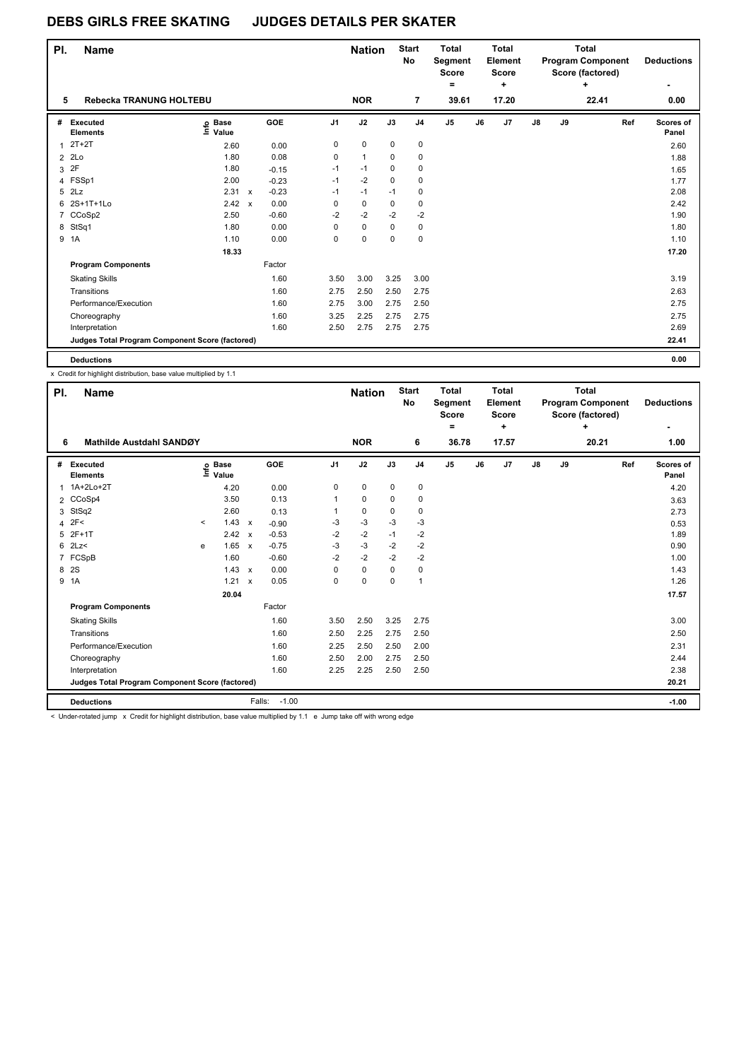| PI.            | <b>Name</b>                                     |                   |                           |         |                | <b>Nation</b> |             | <b>Start</b><br>No | <b>Total</b><br>Segment<br><b>Score</b><br>۰ |    | <b>Total</b><br>Element<br><b>Score</b><br>÷ |               |    | <b>Total</b><br><b>Program Component</b><br>Score (factored) | <b>Deductions</b>  |
|----------------|-------------------------------------------------|-------------------|---------------------------|---------|----------------|---------------|-------------|--------------------|----------------------------------------------|----|----------------------------------------------|---------------|----|--------------------------------------------------------------|--------------------|
| 5              | Rebecka TRANUNG HOLTEBU                         |                   |                           |         |                | <b>NOR</b>    |             | $\overline{7}$     | 39.61                                        |    | 17.20                                        |               |    | 22.41                                                        | 0.00               |
| #              | Executed<br><b>Elements</b>                     | e Base<br>⊑ Value |                           | GOE     | J <sub>1</sub> | J2            | J3          | J <sub>4</sub>     | J <sub>5</sub>                               | J6 | J7                                           | $\mathsf{J}8$ | J9 | Ref                                                          | Scores of<br>Panel |
| $\mathbf{1}$   | $2T+2T$                                         | 2.60              |                           | 0.00    | 0              | 0             | 0           | 0                  |                                              |    |                                              |               |    |                                                              | 2.60               |
| $\overline{2}$ | 2Lo                                             | 1.80              |                           | 0.08    | 0              | $\mathbf{1}$  | 0           | 0                  |                                              |    |                                              |               |    |                                                              | 1.88               |
| 3              | 2F                                              | 1.80              |                           | $-0.15$ | $-1$           | $-1$          | 0           | 0                  |                                              |    |                                              |               |    |                                                              | 1.65               |
|                | 4 FSSp1                                         | 2.00              |                           | $-0.23$ | $-1$           | $-2$          | $\mathbf 0$ | 0                  |                                              |    |                                              |               |    |                                                              | 1.77               |
| 5              | 2Lz                                             | 2.31              | $\boldsymbol{\mathsf{x}}$ | $-0.23$ | $-1$           | $-1$          | $-1$        | 0                  |                                              |    |                                              |               |    |                                                              | 2.08               |
| 6              | 2S+1T+1Lo                                       | 2.42              | $\mathsf{x}$              | 0.00    | 0              | 0             | $\mathbf 0$ | 0                  |                                              |    |                                              |               |    |                                                              | 2.42               |
|                | 7 CCoSp2                                        | 2.50              |                           | $-0.60$ | $-2$           | $-2$          | $-2$        | $-2$               |                                              |    |                                              |               |    |                                                              | 1.90               |
| 8              | StSq1                                           | 1.80              |                           | 0.00    | 0              | $\mathbf 0$   | 0           | 0                  |                                              |    |                                              |               |    |                                                              | 1.80               |
|                | 9 1A                                            | 1.10              |                           | 0.00    | 0              | 0             | $\mathbf 0$ | 0                  |                                              |    |                                              |               |    |                                                              | 1.10               |
|                |                                                 | 18.33             |                           |         |                |               |             |                    |                                              |    |                                              |               |    |                                                              | 17.20              |
|                | <b>Program Components</b>                       |                   |                           | Factor  |                |               |             |                    |                                              |    |                                              |               |    |                                                              |                    |
|                | <b>Skating Skills</b>                           |                   |                           | 1.60    | 3.50           | 3.00          | 3.25        | 3.00               |                                              |    |                                              |               |    |                                                              | 3.19               |
|                | Transitions                                     |                   |                           | 1.60    | 2.75           | 2.50          | 2.50        | 2.75               |                                              |    |                                              |               |    |                                                              | 2.63               |
|                | Performance/Execution                           |                   |                           | 1.60    | 2.75           | 3.00          | 2.75        | 2.50               |                                              |    |                                              |               |    |                                                              | 2.75               |
|                | Choreography                                    |                   |                           | 1.60    | 3.25           | 2.25          | 2.75        | 2.75               |                                              |    |                                              |               |    |                                                              | 2.75               |
|                | Interpretation                                  |                   |                           | 1.60    | 2.50           | 2.75          | 2.75        | 2.75               |                                              |    |                                              |               |    |                                                              | 2.69               |
|                | Judges Total Program Component Score (factored) |                   |                           |         |                |               |             |                    |                                              |    |                                              |               |    |                                                              | 22.41              |
|                | <b>Deductions</b>                               |                   |                           |         |                |               |             |                    |                                              |    |                                              |               |    |                                                              | 0.00               |

x Credit for highlight distribution, base value multiplied by 1.1

| ۰<br>٠<br>÷                                                                                                                                                                  |                    |
|------------------------------------------------------------------------------------------------------------------------------------------------------------------------------|--------------------|
| <b>NOR</b><br>6<br>36.78<br>17.57<br>20.21<br>Mathilde Austdahl SANDØY<br>6                                                                                                  | 1.00               |
| J2<br>GOE<br>J <sub>1</sub><br>J3<br>J5<br>J <sub>7</sub><br>J8<br>J9<br>J <sub>4</sub><br>J6<br>Ref<br>#<br>Executed<br><b>Base</b><br>e Base<br>⊆ Value<br><b>Elements</b> | Scores of<br>Panel |
| 1A+2Lo+2T<br>$\pmb{0}$<br>0<br>0<br>0<br>4.20<br>0.00<br>1                                                                                                                   | 4.20               |
| 2 CCoSp4<br>3.50<br>0.13<br>0<br>0<br>0<br>1                                                                                                                                 | 3.63               |
| StSq2<br>2.60<br>0<br>0<br>0<br>0.13<br>3                                                                                                                                    | 2.73               |
| 2F<<br>1.43<br>$-3$<br>$-3$<br>-3<br>$-3$<br>$\prec$<br>$\mathsf{x}$<br>$-0.90$<br>4                                                                                         | 0.53               |
| $-2$<br>$2F+1T$<br>2.42<br>$-0.53$<br>$-2$<br>$-1$<br>$-2$<br>5<br>$\boldsymbol{\mathsf{x}}$                                                                                 | 1.89               |
| -3<br>$-3$<br>$-2$<br>$-2$<br>2Lz<br>1.65<br>6<br>$-0.75$<br>$\mathsf{x}$<br>e                                                                                               | 0.90               |
| $-2$<br>$-2$<br>$-2$<br>$-2$<br>7 FCSpB<br>1.60<br>$-0.60$                                                                                                                   | 1.00               |
| <b>2S</b><br>1.43<br>0.00<br>0<br>0<br>8<br>0<br>0<br>$\boldsymbol{\mathsf{x}}$                                                                                              | 1.43               |
| 9<br>1A<br>1.21<br>0.05<br>0<br>0<br>0<br>1<br>$\boldsymbol{\mathsf{x}}$                                                                                                     | 1.26               |
| 20.04                                                                                                                                                                        | 17.57              |
| Factor<br><b>Program Components</b>                                                                                                                                          |                    |
| 1.60<br>2.50<br>3.25<br>2.75<br><b>Skating Skills</b><br>3.50                                                                                                                | 3.00               |
| Transitions<br>1.60<br>2.25<br>2.50<br>2.75<br>2.50                                                                                                                          | 2.50               |
| Performance/Execution<br>1.60<br>2.25<br>2.50<br>2.50<br>2.00                                                                                                                | 2.31               |
| 1.60<br>2.00<br>2.50<br>2.75<br>2.50<br>Choreography                                                                                                                         | 2.44               |
| 1.60<br>2.25<br>2.25<br>2.50<br>2.50<br>Interpretation                                                                                                                       | 2.38               |
| Judges Total Program Component Score (factored)                                                                                                                              | 20.21              |
| <b>Deductions</b><br>Falls:<br>$-1.00$                                                                                                                                       | $-1.00$            |

< Under-rotated jump x Credit for highlight distribution, base value multiplied by 1.1 e Jump take off with wrong edge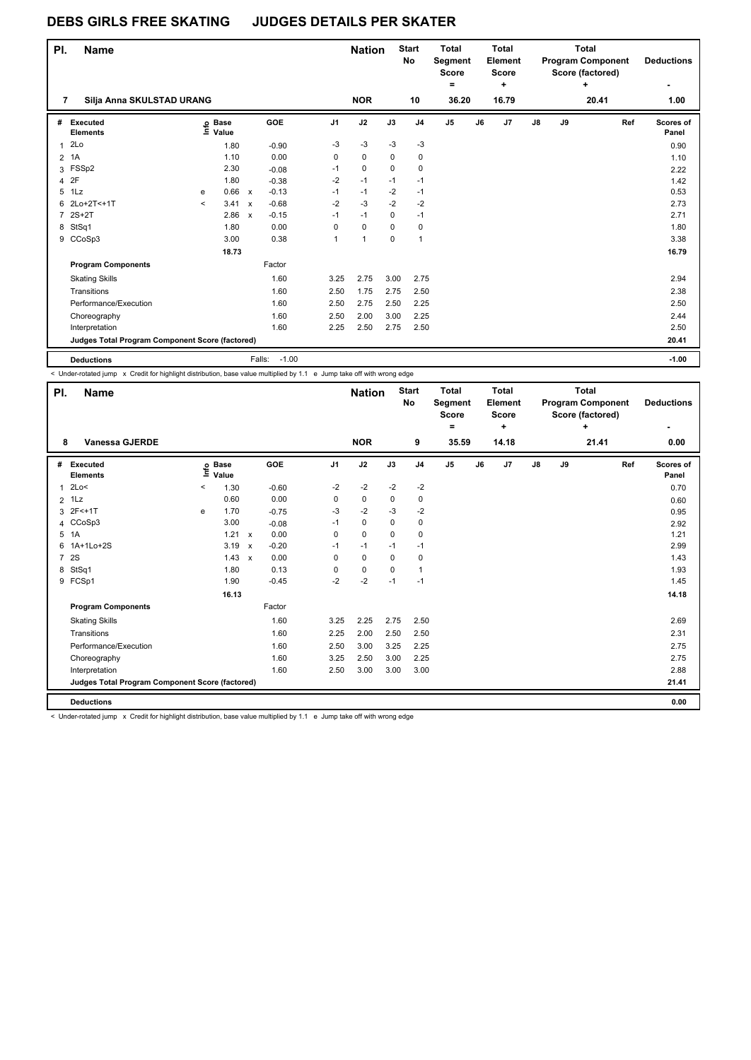| PI.            | <b>Name</b>                                     |         |                   |                           |                   |                | <b>Nation</b> |             | <b>Start</b><br>No | <b>Total</b><br>Segment<br><b>Score</b><br>$=$ |    | <b>Total</b><br>Element<br><b>Score</b><br>٠ |    |    | <b>Total</b><br><b>Program Component</b><br>Score (factored)<br>$\ddot{}$ | <b>Deductions</b>  |
|----------------|-------------------------------------------------|---------|-------------------|---------------------------|-------------------|----------------|---------------|-------------|--------------------|------------------------------------------------|----|----------------------------------------------|----|----|---------------------------------------------------------------------------|--------------------|
| 7              | Silja Anna SKULSTAD URANG                       |         |                   |                           |                   |                | <b>NOR</b>    |             | 10                 | 36.20                                          |    | 16.79                                        |    |    | 20.41                                                                     | 1.00               |
| #              | Executed<br><b>Elements</b>                     |         | e Base<br>⊑ Value |                           | GOE               | J <sub>1</sub> | J2            | J3          | J <sub>4</sub>     | J <sub>5</sub>                                 | J6 | J7                                           | J8 | J9 | Ref                                                                       | Scores of<br>Panel |
|                | 12LO                                            |         | 1.80              |                           | $-0.90$           | $-3$           | $-3$          | $-3$        | $-3$               |                                                |    |                                              |    |    |                                                                           | 0.90               |
| $\overline{2}$ | 1A                                              |         | 1.10              |                           | 0.00              | 0              | $\Omega$      | $\Omega$    | 0                  |                                                |    |                                              |    |    |                                                                           | 1.10               |
| 3              | FSSp2                                           |         | 2.30              |                           | $-0.08$           | $-1$           | 0             | $\Omega$    | 0                  |                                                |    |                                              |    |    |                                                                           | 2.22               |
| 4              | 2F                                              |         | 1.80              |                           | $-0.38$           | $-2$           | $-1$          | $-1$        | $-1$               |                                                |    |                                              |    |    |                                                                           | 1.42               |
| 5              | 1Lz                                             | e       | 0.66              | $\mathbf{x}$              | $-0.13$           | $-1$           | $-1$          | $-2$        | $-1$               |                                                |    |                                              |    |    |                                                                           | 0.53               |
|                | 6 2Lo+2T<+1T                                    | $\prec$ | 3.41              | $\boldsymbol{\mathsf{x}}$ | $-0.68$           | $-2$           | $-3$          | $-2$        | $-2$               |                                                |    |                                              |    |    |                                                                           | 2.73               |
|                | 7 2S+2T                                         |         | 2.86              | $\mathsf{x}$              | $-0.15$           | $-1$           | $-1$          | $\Omega$    | $-1$               |                                                |    |                                              |    |    |                                                                           | 2.71               |
|                | 8 StSq1                                         |         | 1.80              |                           | 0.00              | 0              | 0             | 0           | 0                  |                                                |    |                                              |    |    |                                                                           | 1.80               |
|                | 9 CCoSp3                                        |         | 3.00              |                           | 0.38              | 1              | $\mathbf{1}$  | $\mathbf 0$ | 1                  |                                                |    |                                              |    |    |                                                                           | 3.38               |
|                |                                                 |         | 18.73             |                           |                   |                |               |             |                    |                                                |    |                                              |    |    |                                                                           | 16.79              |
|                | <b>Program Components</b>                       |         |                   |                           | Factor            |                |               |             |                    |                                                |    |                                              |    |    |                                                                           |                    |
|                | <b>Skating Skills</b>                           |         |                   |                           | 1.60              | 3.25           | 2.75          | 3.00        | 2.75               |                                                |    |                                              |    |    |                                                                           | 2.94               |
|                | Transitions                                     |         |                   |                           | 1.60              | 2.50           | 1.75          | 2.75        | 2.50               |                                                |    |                                              |    |    |                                                                           | 2.38               |
|                | Performance/Execution                           |         |                   |                           | 1.60              | 2.50           | 2.75          | 2.50        | 2.25               |                                                |    |                                              |    |    |                                                                           | 2.50               |
|                | Choreography                                    |         |                   |                           | 1.60              | 2.50           | 2.00          | 3.00        | 2.25               |                                                |    |                                              |    |    |                                                                           | 2.44               |
|                | Interpretation                                  |         |                   |                           | 1.60              | 2.25           | 2.50          | 2.75        | 2.50               |                                                |    |                                              |    |    |                                                                           | 2.50               |
|                | Judges Total Program Component Score (factored) |         |                   |                           |                   |                |               |             |                    |                                                |    |                                              |    |    |                                                                           | 20.41              |
|                | <b>Deductions</b>                               |         |                   |                           | $-1.00$<br>Falls: |                |               |             |                    |                                                |    |                                              |    |    |                                                                           | $-1.00$            |

< Under-rotated jump x Credit for highlight distribution, base value multiplied by 1.1 e Jump take off with wrong edge

| PI.            | <b>Name</b>                                     |         |                      |              |         |                | <b>Nation</b> |             | <b>Start</b><br>No | <b>Total</b><br>Segment<br><b>Score</b><br>٠ |    | <b>Total</b><br>Element<br><b>Score</b><br>$\ddot{}$ |               |    | <b>Total</b><br><b>Program Component</b><br>Score (factored)<br>÷ |     | <b>Deductions</b>  |
|----------------|-------------------------------------------------|---------|----------------------|--------------|---------|----------------|---------------|-------------|--------------------|----------------------------------------------|----|------------------------------------------------------|---------------|----|-------------------------------------------------------------------|-----|--------------------|
| 8              | <b>Vanessa GJERDE</b>                           |         |                      |              |         |                | <b>NOR</b>    |             | 9                  | 35.59                                        |    | 14.18                                                |               |    | 21.41                                                             |     | ۰<br>0.00          |
| #              | Executed<br><b>Elements</b>                     | ١nfo    | <b>Base</b><br>Value |              | GOE     | J <sub>1</sub> | J2            | J3          | J <sub>4</sub>     | $\mathsf{J}5$                                | J6 | J7                                                   | $\mathsf{J}8$ | J9 |                                                                   | Ref | Scores of<br>Panel |
| 1              | 2Lo<                                            | $\,<\,$ | 1.30                 |              | $-0.60$ | $-2$           | $-2$          | $-2$        | $-2$               |                                              |    |                                                      |               |    |                                                                   |     | 0.70               |
|                | $2$ 1 Lz                                        |         | 0.60                 |              | 0.00    | 0              | 0             | $\mathbf 0$ | 0                  |                                              |    |                                                      |               |    |                                                                   |     | 0.60               |
| 3              | 2F<+1T                                          | e       | 1.70                 |              | $-0.75$ | $-3$           | $-2$          | $-3$        | $-2$               |                                              |    |                                                      |               |    |                                                                   |     | 0.95               |
| 4              | CCoSp3                                          |         | 3.00                 |              | $-0.08$ | $-1$           | $\pmb{0}$     | 0           | 0                  |                                              |    |                                                      |               |    |                                                                   |     | 2.92               |
| 5              | 1A                                              |         | 1.21                 | $\mathbf{x}$ | 0.00    | $\Omega$       | $\mathbf 0$   | $\Omega$    | 0                  |                                              |    |                                                      |               |    |                                                                   |     | 1.21               |
| 6              | 1A+1Lo+2S                                       |         | 3.19                 | $\mathsf{x}$ | $-0.20$ | $-1$           | $-1$          | $-1$        | $-1$               |                                              |    |                                                      |               |    |                                                                   |     | 2.99               |
| $\overline{7}$ | 2S                                              |         | 1.43                 | $\mathbf{x}$ | 0.00    | $\Omega$       | $\mathbf 0$   | $\mathbf 0$ | 0                  |                                              |    |                                                      |               |    |                                                                   |     | 1.43               |
| 8              | StSq1                                           |         | 1.80                 |              | 0.13    | 0              | $\mathbf 0$   | $\mathbf 0$ | 1                  |                                              |    |                                                      |               |    |                                                                   |     | 1.93               |
|                | 9 FCSp1                                         |         | 1.90                 |              | $-0.45$ | $-2$           | $-2$          | $-1$        | $-1$               |                                              |    |                                                      |               |    |                                                                   |     | 1.45               |
|                |                                                 |         | 16.13                |              |         |                |               |             |                    |                                              |    |                                                      |               |    |                                                                   |     | 14.18              |
|                | <b>Program Components</b>                       |         |                      |              | Factor  |                |               |             |                    |                                              |    |                                                      |               |    |                                                                   |     |                    |
|                | <b>Skating Skills</b>                           |         |                      |              | 1.60    | 3.25           | 2.25          | 2.75        | 2.50               |                                              |    |                                                      |               |    |                                                                   |     | 2.69               |
|                | Transitions                                     |         |                      |              | 1.60    | 2.25           | 2.00          | 2.50        | 2.50               |                                              |    |                                                      |               |    |                                                                   |     | 2.31               |
|                | Performance/Execution                           |         |                      |              | 1.60    | 2.50           | 3.00          | 3.25        | 2.25               |                                              |    |                                                      |               |    |                                                                   |     | 2.75               |
|                | Choreography                                    |         |                      |              | 1.60    | 3.25           | 2.50          | 3.00        | 2.25               |                                              |    |                                                      |               |    |                                                                   |     | 2.75               |
|                | Interpretation                                  |         |                      |              | 1.60    | 2.50           | 3.00          | 3.00        | 3.00               |                                              |    |                                                      |               |    |                                                                   |     | 2.88               |
|                | Judges Total Program Component Score (factored) |         |                      |              |         |                |               |             |                    |                                              |    |                                                      |               |    |                                                                   |     | 21.41              |
|                | <b>Deductions</b>                               |         |                      |              |         |                |               |             |                    |                                              |    |                                                      |               |    |                                                                   |     | 0.00               |

< Under-rotated jump x Credit for highlight distribution, base value multiplied by 1.1 e Jump take off with wrong edge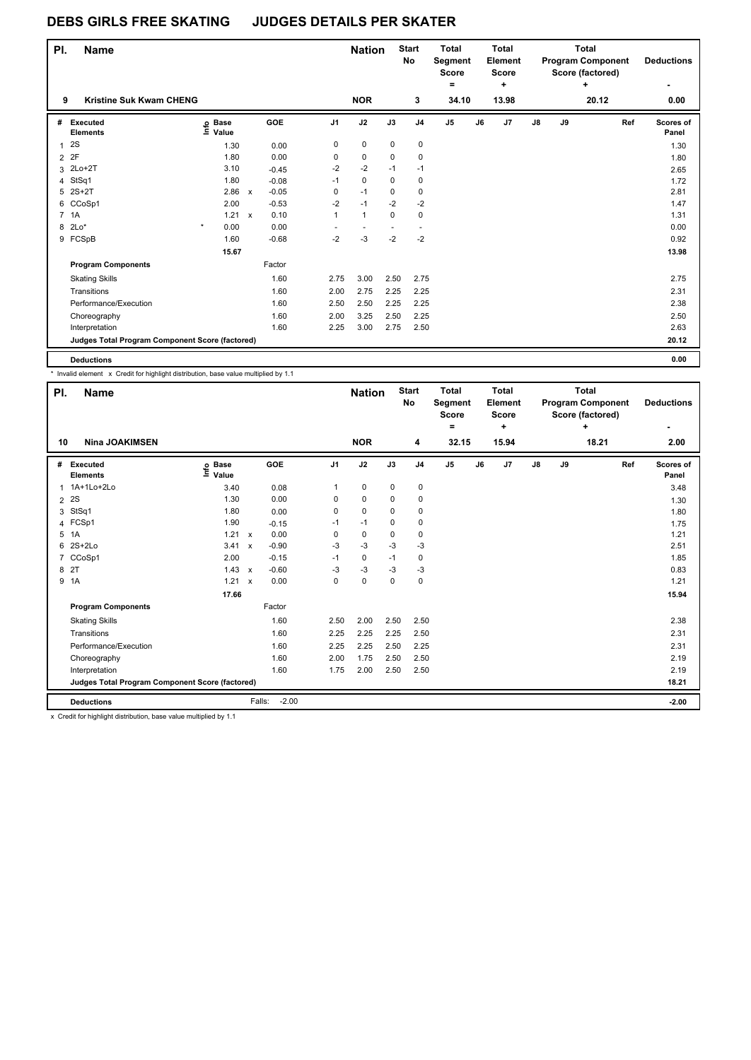| PI.            | <b>Name</b>                                     |                   |              |         |                | <b>Nation</b> |             | <b>Start</b><br><b>No</b> | <b>Total</b><br>Segment<br><b>Score</b><br>$\equiv$ |    | Total<br>Element<br><b>Score</b><br>÷ |    |    | Total<br><b>Program Component</b><br>Score (factored)<br>٠ | <b>Deductions</b>  |
|----------------|-------------------------------------------------|-------------------|--------------|---------|----------------|---------------|-------------|---------------------------|-----------------------------------------------------|----|---------------------------------------|----|----|------------------------------------------------------------|--------------------|
| 9              | <b>Kristine Suk Kwam CHENG</b>                  |                   |              |         |                | <b>NOR</b>    |             | 3                         | 34.10                                               |    | 13.98                                 |    |    | 20.12                                                      | 0.00               |
| #              | <b>Executed</b><br><b>Elements</b>              | e Base<br>≡ Value |              | GOE     | J <sub>1</sub> | J2            | J3          | J <sub>4</sub>            | J <sub>5</sub>                                      | J6 | J <sub>7</sub>                        | J8 | J9 | Ref                                                        | Scores of<br>Panel |
| 1              | 2S                                              | 1.30              |              | 0.00    | 0              | 0             | 0           | 0                         |                                                     |    |                                       |    |    |                                                            | 1.30               |
|                | 2 2F                                            | 1.80              |              | 0.00    | 0              | 0             | 0           | 0                         |                                                     |    |                                       |    |    |                                                            | 1.80               |
| 3              | $2Lo+2T$                                        | 3.10              |              | $-0.45$ | $-2$           | $-2$          | $-1$        | $-1$                      |                                                     |    |                                       |    |    |                                                            | 2.65               |
| 4              | StSq1                                           | 1.80              |              | $-0.08$ | $-1$           | $\mathbf 0$   | $\mathbf 0$ | 0                         |                                                     |    |                                       |    |    |                                                            | 1.72               |
| 5              | $2S+2T$                                         | 2.86              | $\mathsf{x}$ | $-0.05$ | 0              | $-1$          | 0           | 0                         |                                                     |    |                                       |    |    |                                                            | 2.81               |
|                | 6 CCoSp1                                        | 2.00              |              | $-0.53$ | $-2$           | $-1$          | $-2$        | $-2$                      |                                                     |    |                                       |    |    |                                                            | 1.47               |
| $\overline{7}$ | 1A                                              | 1.21              | $\mathsf{x}$ | 0.10    | $\mathbf{1}$   | $\mathbf{1}$  | $\mathbf 0$ | 0                         |                                                     |    |                                       |    |    |                                                            | 1.31               |
| 8              | $2Lo*$                                          | $\star$<br>0.00   |              | 0.00    |                |               |             |                           |                                                     |    |                                       |    |    |                                                            | 0.00               |
|                | 9 FCSpB                                         | 1.60              |              | $-0.68$ | $-2$           | $-3$          | $-2$        | $-2$                      |                                                     |    |                                       |    |    |                                                            | 0.92               |
|                |                                                 | 15.67             |              |         |                |               |             |                           |                                                     |    |                                       |    |    |                                                            | 13.98              |
|                | <b>Program Components</b>                       |                   |              | Factor  |                |               |             |                           |                                                     |    |                                       |    |    |                                                            |                    |
|                | <b>Skating Skills</b>                           |                   |              | 1.60    | 2.75           | 3.00          | 2.50        | 2.75                      |                                                     |    |                                       |    |    |                                                            | 2.75               |
|                | Transitions                                     |                   |              | 1.60    | 2.00           | 2.75          | 2.25        | 2.25                      |                                                     |    |                                       |    |    |                                                            | 2.31               |
|                | Performance/Execution                           |                   |              | 1.60    | 2.50           | 2.50          | 2.25        | 2.25                      |                                                     |    |                                       |    |    |                                                            | 2.38               |
|                | Choreography                                    |                   |              | 1.60    | 2.00           | 3.25          | 2.50        | 2.25                      |                                                     |    |                                       |    |    |                                                            | 2.50               |
|                | Interpretation                                  |                   |              | 1.60    | 2.25           | 3.00          | 2.75        | 2.50                      |                                                     |    |                                       |    |    |                                                            | 2.63               |
|                | Judges Total Program Component Score (factored) |                   |              |         |                |               |             |                           |                                                     |    |                                       |    |    |                                                            | 20.12              |
|                | <b>Deductions</b>                               |                   |              |         |                |               |             |                           |                                                     |    |                                       |    |    |                                                            | 0.00               |

\* Invalid element x Credit for highlight distribution, base value multiplied by 1.1

| PI. | <b>Name</b>                                     |                           |                           |         |                | <b>Nation</b> |             | <b>Start</b><br>No | <b>Total</b><br>Segment<br><b>Score</b><br>۰ |    | <b>Total</b><br>Element<br><b>Score</b><br>٠ |    |    | <b>Total</b><br><b>Program Component</b><br>Score (factored)<br>٠ |     | <b>Deductions</b>  |
|-----|-------------------------------------------------|---------------------------|---------------------------|---------|----------------|---------------|-------------|--------------------|----------------------------------------------|----|----------------------------------------------|----|----|-------------------------------------------------------------------|-----|--------------------|
| 10  | <b>Nina JOAKIMSEN</b>                           |                           |                           |         |                | <b>NOR</b>    |             | 4                  | 32.15                                        |    | 15.94                                        |    |    | 18.21                                                             |     | 2.00               |
| #   | <b>Executed</b><br><b>Elements</b>              | <b>Base</b><br>e<br>Value |                           | GOE     | J <sub>1</sub> | J2            | J3          | J <sub>4</sub>     | J <sub>5</sub>                               | J6 | J <sub>7</sub>                               | J8 | J9 |                                                                   | Ref | Scores of<br>Panel |
| 1   | 1A+1Lo+2Lo                                      | 3.40                      |                           | 0.08    | 1              | $\mathbf 0$   | $\mathbf 0$ | $\mathbf 0$        |                                              |    |                                              |    |    |                                                                   |     | 3.48               |
| 2   | 2S                                              | 1.30                      |                           | 0.00    | 0              | 0             | 0           | 0                  |                                              |    |                                              |    |    |                                                                   |     | 1.30               |
| 3   | StSq1                                           | 1.80                      |                           | 0.00    | 0              | $\mathbf 0$   | 0           | 0                  |                                              |    |                                              |    |    |                                                                   |     | 1.80               |
| 4   | FCSp1                                           | 1.90                      |                           | $-0.15$ | $-1$           | $-1$          | 0           | 0                  |                                              |    |                                              |    |    |                                                                   |     | 1.75               |
| 5   | 1A                                              | 1.21                      | $\mathsf{x}$              | 0.00    | 0              | $\pmb{0}$     | 0           | 0                  |                                              |    |                                              |    |    |                                                                   |     | 1.21               |
| 6   | $2S+2Lo$                                        | 3.41                      | $\mathsf{x}$              | $-0.90$ | $-3$           | $-3$          | $-3$        | $-3$               |                                              |    |                                              |    |    |                                                                   |     | 2.51               |
| 7   | CCoSp1                                          | 2.00                      |                           | $-0.15$ | $-1$           | $\mathbf 0$   | $-1$        | 0                  |                                              |    |                                              |    |    |                                                                   |     | 1.85               |
| 8   | 2T                                              | 1.43                      | $\boldsymbol{\mathsf{x}}$ | $-0.60$ | $-3$           | $-3$          | $-3$        | $-3$               |                                              |    |                                              |    |    |                                                                   |     | 0.83               |
| 9   | 1A                                              | 1.21                      | $\boldsymbol{\mathsf{x}}$ | 0.00    | 0              | 0             | 0           | 0                  |                                              |    |                                              |    |    |                                                                   |     | 1.21               |
|     |                                                 | 17.66                     |                           |         |                |               |             |                    |                                              |    |                                              |    |    |                                                                   |     | 15.94              |
|     | <b>Program Components</b>                       |                           |                           | Factor  |                |               |             |                    |                                              |    |                                              |    |    |                                                                   |     |                    |
|     | <b>Skating Skills</b>                           |                           |                           | 1.60    | 2.50           | 2.00          | 2.50        | 2.50               |                                              |    |                                              |    |    |                                                                   |     | 2.38               |
|     | Transitions                                     |                           |                           | 1.60    | 2.25           | 2.25          | 2.25        | 2.50               |                                              |    |                                              |    |    |                                                                   |     | 2.31               |
|     | Performance/Execution                           |                           |                           | 1.60    | 2.25           | 2.25          | 2.50        | 2.25               |                                              |    |                                              |    |    |                                                                   |     | 2.31               |
|     | Choreography                                    |                           |                           | 1.60    | 2.00           | 1.75          | 2.50        | 2.50               |                                              |    |                                              |    |    |                                                                   |     | 2.19               |
|     | Interpretation                                  |                           |                           | 1.60    | 1.75           | 2.00          | 2.50        | 2.50               |                                              |    |                                              |    |    |                                                                   |     | 2.19               |
|     | Judges Total Program Component Score (factored) |                           |                           |         |                |               |             |                    |                                              |    |                                              |    |    |                                                                   |     | 18.21              |
|     | <b>Deductions</b>                               |                           | Falls:                    | $-2.00$ |                |               |             |                    |                                              |    |                                              |    |    |                                                                   |     | $-2.00$            |

x Credit for highlight distribution, base value multiplied by 1.1